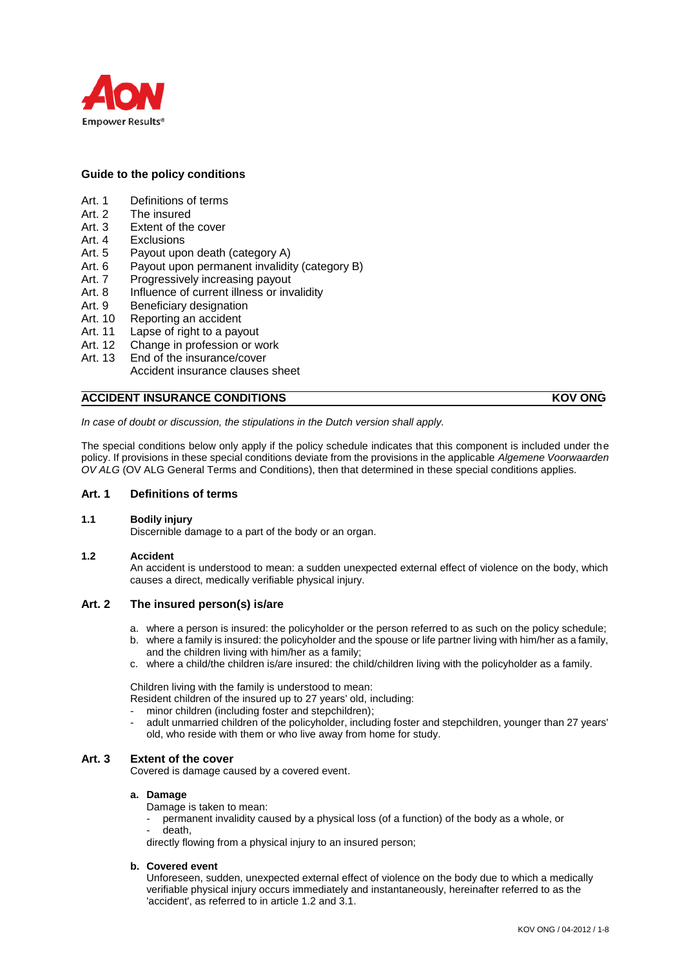

## **Guide to the policy conditions**

- Art. 1 Definitions of terms
- Art. 2 The insured
- Art. 3 Extent of the cover
- Art. 4 Exclusions
- Art. 5 Payout upon death (category A)
- Art. 6 Payout upon permanent invalidity (category B)
- Art. 7 Progressively increasing payout
- Art. 8 Influence of current illness or invalidity
- Art. 9 Beneficiary designation
- Art. 10 Reporting an accident
- Art. 11 Lapse of right to a payout
- Art. 12 Change in profession or work
- Art. 13 End of the insurance/cover
	- Accident insurance clauses sheet

## **ACCIDENT INSURANCE CONDITIONS KOV ONG**

*In case of doubt or discussion, the stipulations in the Dutch version shall apply.*

The special conditions below only apply if the policy schedule indicates that this component is included under the policy. If provisions in these special conditions deviate from the provisions in the applicable *Algemene Voorwaarden OV ALG* (OV ALG General Terms and Conditions), then that determined in these special conditions applies.

#### **Art. 1 Definitions of terms**

### **1.1 Bodily injury**

Discernible damage to a part of the body or an organ.

#### **1.2 Accident**

An accident is understood to mean: a sudden unexpected external effect of violence on the body, which causes a direct, medically verifiable physical injury.

### **Art. 2 The insured person(s) is/are**

- a. where a person is insured: the policyholder or the person referred to as such on the policy schedule;
- b. where a family is insured: the policyholder and the spouse or life partner living with him/her as a family, and the children living with him/her as a family;
- c. where a child/the children is/are insured: the child/children living with the policyholder as a family.

Children living with the family is understood to mean:

Resident children of the insured up to 27 years' old, including:

- minor children (including foster and stepchildren);
- adult unmarried children of the policyholder, including foster and stepchildren, younger than 27 years' old, who reside with them or who live away from home for study.

### **Art. 3 Extent of the cover**

Covered is damage caused by a covered event.

#### **a. Damage**

Damage is taken to mean:

permanent invalidity caused by a physical loss (of a function) of the body as a whole, or death.

directly flowing from a physical injury to an insured person;

#### **b. Covered event**

Unforeseen, sudden, unexpected external effect of violence on the body due to which a medically verifiable physical injury occurs immediately and instantaneously, hereinafter referred to as the 'accident', as referred to in article 1.2 and 3.1.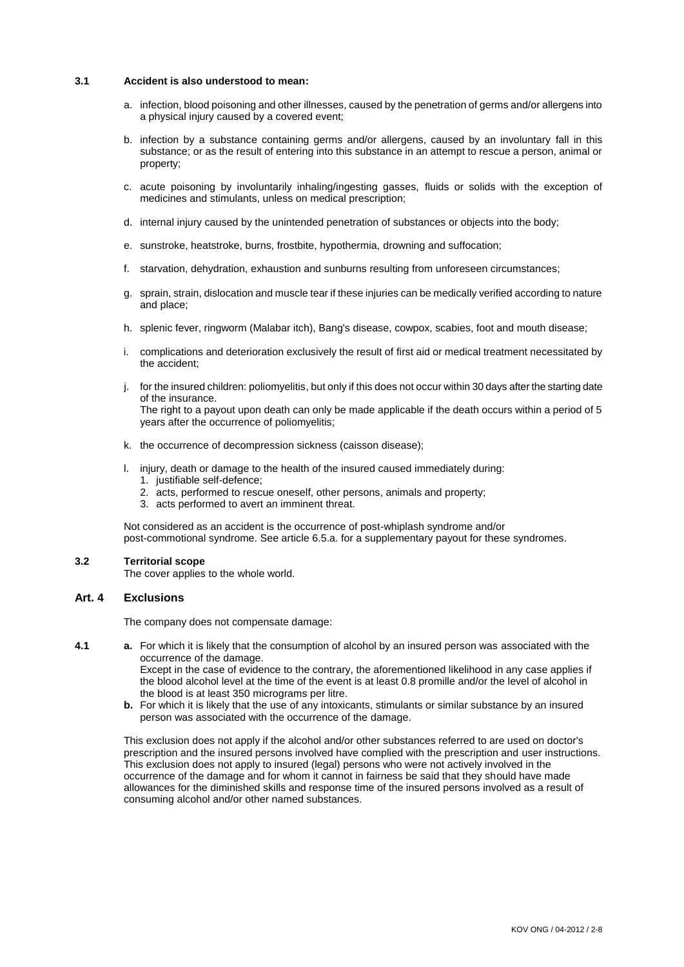#### **3.1 Accident is also understood to mean:**

- a. infection, blood poisoning and other illnesses, caused by the penetration of germs and/or allergens into a physical injury caused by a covered event;
- b. infection by a substance containing germs and/or allergens, caused by an involuntary fall in this substance; or as the result of entering into this substance in an attempt to rescue a person, animal or property;
- c. acute poisoning by involuntarily inhaling/ingesting gasses, fluids or solids with the exception of medicines and stimulants, unless on medical prescription;
- d. internal injury caused by the unintended penetration of substances or objects into the body;
- e. sunstroke, heatstroke, burns, frostbite, hypothermia, drowning and suffocation;
- f. starvation, dehydration, exhaustion and sunburns resulting from unforeseen circumstances;
- g. sprain, strain, dislocation and muscle tear if these injuries can be medically verified according to nature and place;
- h. splenic fever, ringworm (Malabar itch), Bang's disease, cowpox, scabies, foot and mouth disease;
- i. complications and deterioration exclusively the result of first aid or medical treatment necessitated by the accident;
- j. for the insured children: poliomyelitis, but only if this does not occur within 30 days after the starting date of the insurance. The right to a payout upon death can only be made applicable if the death occurs within a period of 5 years after the occurrence of poliomyelitis;
- k. the occurrence of decompression sickness (caisson disease);
- l. injury, death or damage to the health of the insured caused immediately during:
	- 1. justifiable self-defence;
	- 2. acts, performed to rescue oneself, other persons, animals and property;
	- 3. acts performed to avert an imminent threat.

Not considered as an accident is the occurrence of post-whiplash syndrome and/or post-commotional syndrome. See article 6.5.a. for a supplementary payout for these syndromes.

## **3.2 Territorial scope**

The cover applies to the whole world.

### **Art. 4 Exclusions**

The company does not compensate damage:

**4.1 a.** For which it is likely that the consumption of alcohol by an insured person was associated with the occurrence of the damage.

Except in the case of evidence to the contrary, the aforementioned likelihood in any case applies if the blood alcohol level at the time of the event is at least 0.8 promille and/or the level of alcohol in the blood is at least 350 micrograms per litre.

**b.** For which it is likely that the use of any intoxicants, stimulants or similar substance by an insured person was associated with the occurrence of the damage.

This exclusion does not apply if the alcohol and/or other substances referred to are used on doctor's prescription and the insured persons involved have complied with the prescription and user instructions. This exclusion does not apply to insured (legal) persons who were not actively involved in the occurrence of the damage and for whom it cannot in fairness be said that they should have made allowances for the diminished skills and response time of the insured persons involved as a result of consuming alcohol and/or other named substances.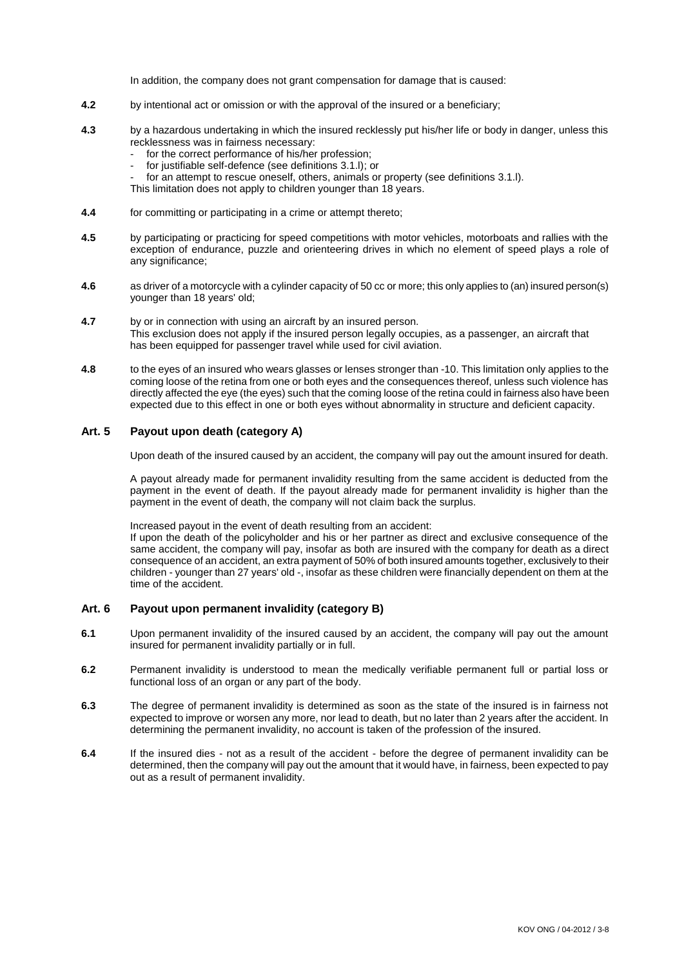In addition, the company does not grant compensation for damage that is caused:

- **4.2** by intentional act or omission or with the approval of the insured or a beneficiary;
- **4.3** by a hazardous undertaking in which the insured recklessly put his/her life or body in danger, unless this recklessness was in fairness necessary:
	- for the correct performance of his/her profession;
	- for justifiable self-defence (see definitions 3.1.l); or
	- for an attempt to rescue oneself, others, animals or property (see definitions 3.1.I).

This limitation does not apply to children younger than 18 years.

- **4.4** for committing or participating in a crime or attempt thereto;
- **4.5** by participating or practicing for speed competitions with motor vehicles, motorboats and rallies with the exception of endurance, puzzle and orienteering drives in which no element of speed plays a role of any significance;
- **4.6** as driver of a motorcycle with a cylinder capacity of 50 cc or more; this only applies to (an) insured person(s) younger than 18 years' old;
- **4.7** by or in connection with using an aircraft by an insured person. This exclusion does not apply if the insured person legally occupies, as a passenger, an aircraft that has been equipped for passenger travel while used for civil aviation.
- **4.8** to the eyes of an insured who wears glasses or lenses stronger than -10. This limitation only applies to the coming loose of the retina from one or both eyes and the consequences thereof, unless such violence has directly affected the eye (the eyes) such that the coming loose of the retina could in fairness also have been expected due to this effect in one or both eyes without abnormality in structure and deficient capacity.

### **Art. 5 Payout upon death (category A)**

Upon death of the insured caused by an accident, the company will pay out the amount insured for death.

A payout already made for permanent invalidity resulting from the same accident is deducted from the payment in the event of death. If the payout already made for permanent invalidity is higher than the payment in the event of death, the company will not claim back the surplus.

Increased payout in the event of death resulting from an accident: If upon the death of the policyholder and his or her partner as direct and exclusive consequence of the same accident, the company will pay, insofar as both are insured with the company for death as a direct consequence of an accident, an extra payment of 50% of both insured amounts together, exclusively to their children - younger than 27 years' old -, insofar as these children were financially dependent on them at the time of the accident.

### **Art. 6 Payout upon permanent invalidity (category B)**

- **6.1** Upon permanent invalidity of the insured caused by an accident, the company will pay out the amount insured for permanent invalidity partially or in full.
- **6.2** Permanent invalidity is understood to mean the medically verifiable permanent full or partial loss or functional loss of an organ or any part of the body.
- **6.3** The degree of permanent invalidity is determined as soon as the state of the insured is in fairness not expected to improve or worsen any more, nor lead to death, but no later than 2 years after the accident. In determining the permanent invalidity, no account is taken of the profession of the insured.
- **6.4** If the insured dies not as a result of the accident before the degree of permanent invalidity can be determined, then the company will pay out the amount that it would have, in fairness, been expected to pay out as a result of permanent invalidity.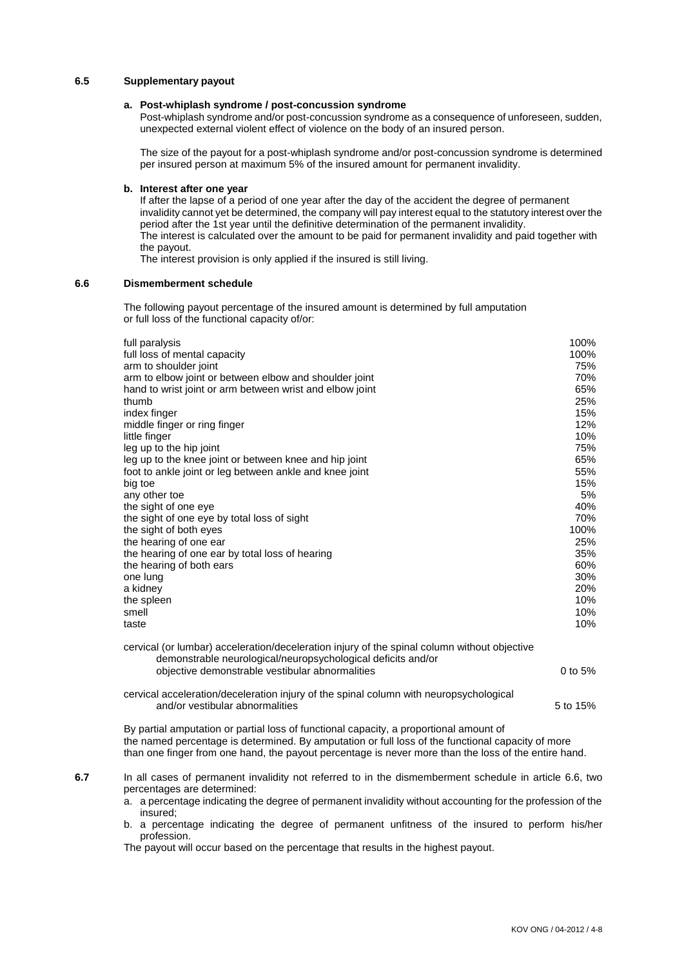#### **6.5 Supplementary payout**

#### **a. Post-whiplash syndrome / post-concussion syndrome**

Post-whiplash syndrome and/or post-concussion syndrome as a consequence of unforeseen, sudden, unexpected external violent effect of violence on the body of an insured person.

The size of the payout for a post-whiplash syndrome and/or post-concussion syndrome is determined per insured person at maximum 5% of the insured amount for permanent invalidity.

#### **b. Interest after one year**

If after the lapse of a period of one year after the day of the accident the degree of permanent invalidity cannot yet be determined, the company will pay interest equal to the statutory interest over the period after the 1st year until the definitive determination of the permanent invalidity. The interest is calculated over the amount to be paid for permanent invalidity and paid together with the payout.

The interest provision is only applied if the insured is still living.

#### **6.6 Dismemberment schedule**

The following payout percentage of the insured amount is determined by full amputation or full loss of the functional capacity of/or:

| full paralysis<br>full loss of mental capacity<br>arm to shoulder joint<br>arm to elbow joint or between elbow and shoulder joint<br>hand to wrist joint or arm between wrist and elbow joint<br>thumb<br>index finger<br>middle finger or ring finger<br>little finger<br>leg up to the hip joint<br>leg up to the knee joint or between knee and hip joint<br>foot to ankle joint or leg between ankle and knee joint<br>big toe<br>any other toe<br>the sight of one eye<br>the sight of one eye by total loss of sight<br>the sight of both eyes<br>the hearing of one ear<br>the hearing of one ear by total loss of hearing<br>the hearing of both ears<br>one lung<br>a kidney<br>the spleen<br>smell<br>taste | 100%<br>100%<br>75%<br>70%<br>65%<br>25%<br>15%<br>12%<br>10%<br>75%<br>65%<br>55%<br>15%<br>5%<br>40%<br>70%<br>100%<br>25%<br>35%<br>60%<br>30%<br>20%<br>10%<br>10%<br>10% |
|-----------------------------------------------------------------------------------------------------------------------------------------------------------------------------------------------------------------------------------------------------------------------------------------------------------------------------------------------------------------------------------------------------------------------------------------------------------------------------------------------------------------------------------------------------------------------------------------------------------------------------------------------------------------------------------------------------------------------|-------------------------------------------------------------------------------------------------------------------------------------------------------------------------------|
| cervical (or lumbar) acceleration/deceleration injury of the spinal column without objective<br>demonstrable neurological/neuropsychological deficits and/or<br>objective demonstrable vestibular abnormalities                                                                                                                                                                                                                                                                                                                                                                                                                                                                                                       | $0$ to 5%                                                                                                                                                                     |
| cervical acceleration/deceleration injury of the spinal column with neuropsychological<br>and/or vestibular abnormalities                                                                                                                                                                                                                                                                                                                                                                                                                                                                                                                                                                                             | 5 to 15%                                                                                                                                                                      |

By partial amputation or partial loss of functional capacity, a proportional amount of the named percentage is determined. By amputation or full loss of the functional capacity of more than one finger from one hand, the payout percentage is never more than the loss of the entire hand.

**6.7** In all cases of permanent invalidity not referred to in the dismemberment schedule in article 6.6, two percentages are determined:

a. a percentage indicating the degree of permanent invalidity without accounting for the profession of the insured;

b. a percentage indicating the degree of permanent unfitness of the insured to perform his/her profession.

The payout will occur based on the percentage that results in the highest payout.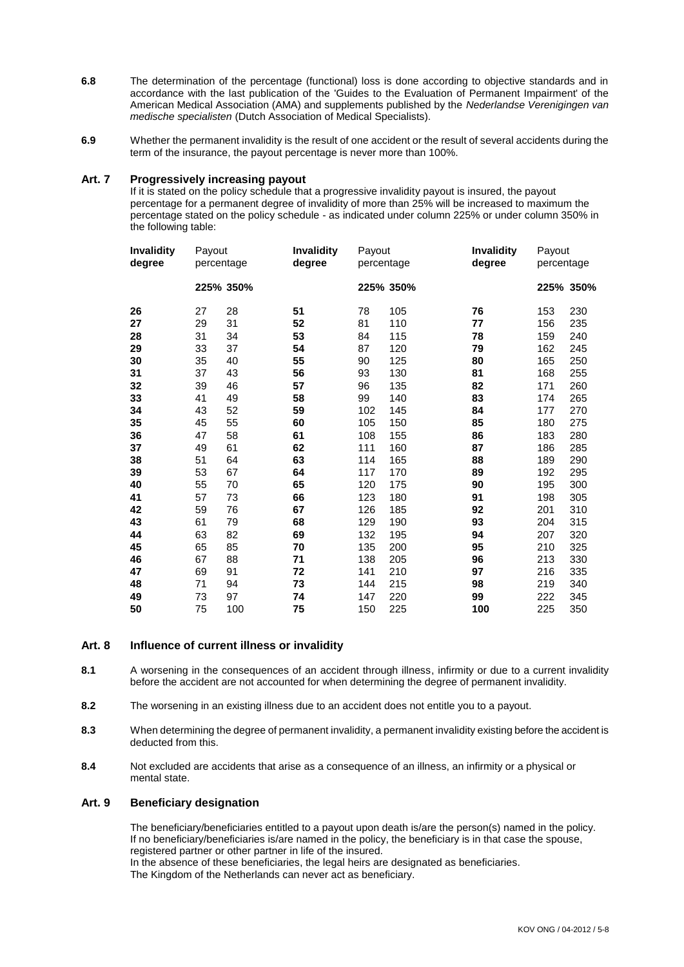- **6.8** The determination of the percentage (functional) loss is done according to objective standards and in accordance with the last publication of the 'Guides to the Evaluation of Permanent Impairment' of the American Medical Association (AMA) and supplements published by the *Nederlandse Verenigingen van medische specialisten* (Dutch Association of Medical Specialists).
- **6.9** Whether the permanent invalidity is the result of one accident or the result of several accidents during the term of the insurance, the payout percentage is never more than 100%.

#### **Art. 7 Progressively increasing payout**

If it is stated on the policy schedule that a progressive invalidity payout is insured, the payout percentage for a permanent degree of invalidity of more than 25% will be increased to maximum the percentage stated on the policy schedule - as indicated under column 225% or under column 350% in the following table:

| <b>Invalidity</b><br>degree | Payout<br>percentage |           | <b>Invalidity</b><br>degree | Payout<br>percentage |           | <b>Invalidity</b><br>degree | Payout<br>percentage |           |
|-----------------------------|----------------------|-----------|-----------------------------|----------------------|-----------|-----------------------------|----------------------|-----------|
|                             |                      | 225% 350% |                             |                      | 225% 350% |                             |                      | 225% 350% |
| 26                          | 27                   | 28        | 51                          | 78                   | 105       | 76                          | 153                  | 230       |
| 27                          | 29                   | 31        | 52                          | 81                   | 110       | 77                          | 156                  | 235       |
| 28                          | 31                   | 34        | 53                          | 84                   | 115       | 78                          | 159                  | 240       |
| 29                          | 33                   | 37        | 54                          | 87                   | 120       | 79                          | 162                  | 245       |
| 30                          | 35                   | 40        | 55                          | 90                   | 125       | 80                          | 165                  | 250       |
| 31                          | 37                   | 43        | 56                          | 93                   | 130       | 81                          | 168                  | 255       |
| 32                          | 39                   | 46        | 57                          | 96                   | 135       | 82                          | 171                  | 260       |
| 33                          | 41                   | 49        | 58                          | 99                   | 140       | 83                          | 174                  | 265       |
| 34                          | 43                   | 52        | 59                          | 102                  | 145       | 84                          | 177                  | 270       |
| 35                          | 45                   | 55        | 60                          | 105                  | 150       | 85                          | 180                  | 275       |
| 36                          | 47                   | 58        | 61                          | 108                  | 155       | 86                          | 183                  | 280       |
| 37                          | 49                   | 61        | 62                          | 111                  | 160       | 87                          | 186                  | 285       |
| 38                          | 51                   | 64        | 63                          | 114                  | 165       | 88                          | 189                  | 290       |
| 39                          | 53                   | 67        | 64                          | 117                  | 170       | 89                          | 192                  | 295       |
| 40                          | 55                   | 70        | 65                          | 120                  | 175       | 90                          | 195                  | 300       |
| 41                          | 57                   | 73        | 66                          | 123                  | 180       | 91                          | 198                  | 305       |
| 42                          | 59                   | 76        | 67                          | 126                  | 185       | 92                          | 201                  | 310       |
| 43                          | 61                   | 79        | 68                          | 129                  | 190       | 93                          | 204                  | 315       |
| 44                          | 63                   | 82        | 69                          | 132                  | 195       | 94                          | 207                  | 320       |
| 45                          | 65                   | 85        | 70                          | 135                  | 200       | 95                          | 210                  | 325       |
| 46                          | 67                   | 88        | 71                          | 138                  | 205       | 96                          | 213                  | 330       |
| 47                          | 69                   | 91        | 72                          | 141                  | 210       | 97                          | 216                  | 335       |
| 48                          | 71                   | 94        | 73                          | 144                  | 215       | 98                          | 219                  | 340       |
| 49                          | 73                   | 97        | 74                          | 147                  | 220       | 99                          | 222                  | 345       |
| 50                          | 75                   | 100       | 75                          | 150                  | 225       | 100                         | 225                  | 350       |

#### **Art. 8 Influence of current illness or invalidity**

- **8.1** A worsening in the consequences of an accident through illness, infirmity or due to a current invalidity before the accident are not accounted for when determining the degree of permanent invalidity.
- **8.2** The worsening in an existing illness due to an accident does not entitle you to a payout.
- **8.3** When determining the degree of permanent invalidity, a permanent invalidity existing before the accident is deducted from this.
- **8.4** Not excluded are accidents that arise as a consequence of an illness, an infirmity or a physical or mental state.

### **Art. 9 Beneficiary designation**

The beneficiary/beneficiaries entitled to a payout upon death is/are the person(s) named in the policy. If no beneficiary/beneficiaries is/are named in the policy, the beneficiary is in that case the spouse, registered partner or other partner in life of the insured. In the absence of these beneficiaries, the legal heirs are designated as beneficiaries.

The Kingdom of the Netherlands can never act as beneficiary.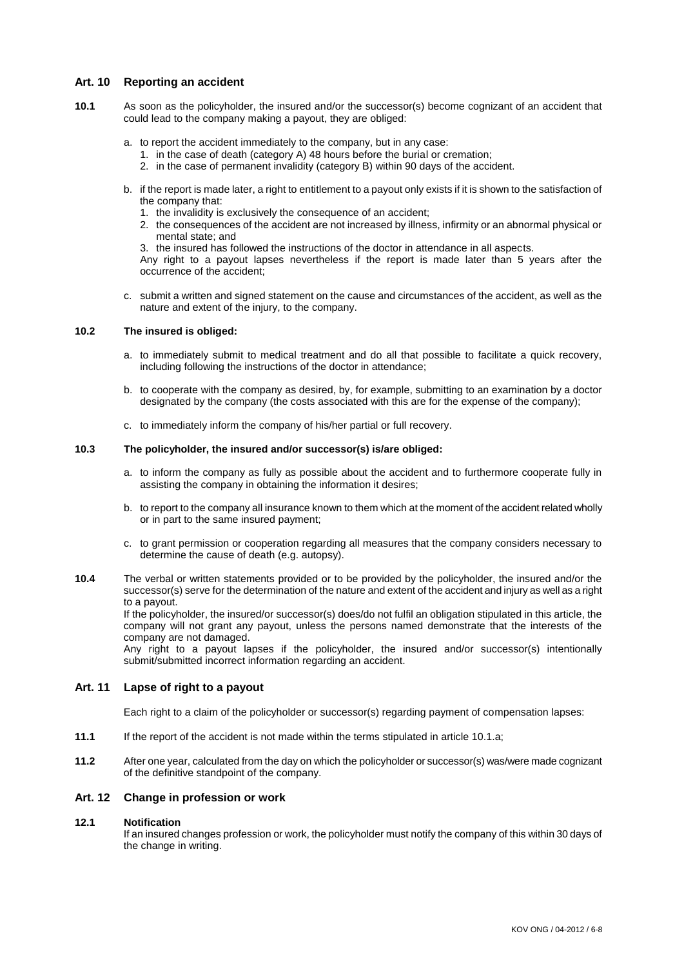### **Art. 10 Reporting an accident**

- **10.1** As soon as the policyholder, the insured and/or the successor(s) become cognizant of an accident that could lead to the company making a payout, they are obliged:
	- a. to report the accident immediately to the company, but in any case:
		- 1. in the case of death (category A) 48 hours before the burial or cremation;
		- 2. in the case of permanent invalidity (category B) within 90 days of the accident.
	- b. if the report is made later, a right to entitlement to a payout only exists if it is shown to the satisfaction of the company that:
		- 1. the invalidity is exclusively the consequence of an accident;
		- 2. the consequences of the accident are not increased by illness, infirmity or an abnormal physical or mental state; and
		- 3. the insured has followed the instructions of the doctor in attendance in all aspects.

Any right to a payout lapses nevertheless if the report is made later than 5 years after the occurrence of the accident;

c. submit a written and signed statement on the cause and circumstances of the accident, as well as the nature and extent of the injury, to the company.

#### **10.2 The insured is obliged:**

- a. to immediately submit to medical treatment and do all that possible to facilitate a quick recovery, including following the instructions of the doctor in attendance;
- b. to cooperate with the company as desired, by, for example, submitting to an examination by a doctor designated by the company (the costs associated with this are for the expense of the company);
- c. to immediately inform the company of his/her partial or full recovery.

### **10.3 The policyholder, the insured and/or successor(s) is/are obliged:**

- a. to inform the company as fully as possible about the accident and to furthermore cooperate fully in assisting the company in obtaining the information it desires;
- b. to report to the company all insurance known to them which at the moment of the accident related wholly or in part to the same insured payment;
- c. to grant permission or cooperation regarding all measures that the company considers necessary to determine the cause of death (e.g. autopsy).
- **10.4** The verbal or written statements provided or to be provided by the policyholder, the insured and/or the successor(s) serve for the determination of the nature and extent of the accident and injury as well as a right to a payout.

If the policyholder, the insured/or successor(s) does/do not fulfil an obligation stipulated in this article, the company will not grant any payout, unless the persons named demonstrate that the interests of the company are not damaged.

Any right to a payout lapses if the policyholder, the insured and/or successor(s) intentionally submit/submitted incorrect information regarding an accident.

#### **Art. 11 Lapse of right to a payout**

Each right to a claim of the policyholder or successor(s) regarding payment of compensation lapses:

- **11.1** If the report of the accident is not made within the terms stipulated in article 10.1.a;
- **11.2** After one year, calculated from the day on which the policyholder or successor(s) was/were made cognizant of the definitive standpoint of the company.

### **Art. 12 Change in profession or work**

#### **12.1 Notification**

If an insured changes profession or work, the policyholder must notify the company of this within 30 days of the change in writing.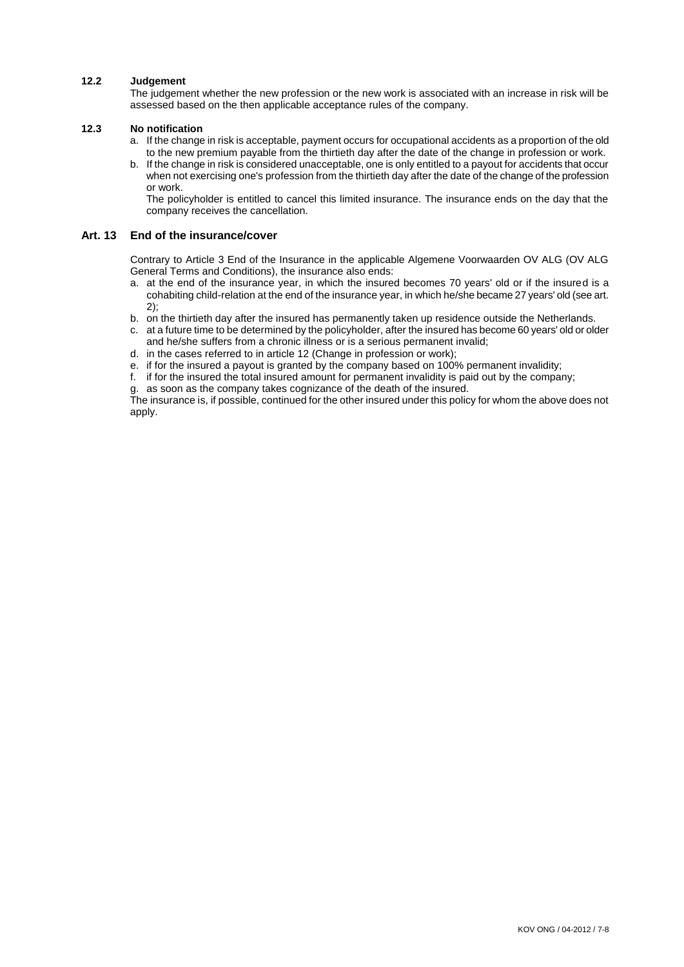### **12.2 Judgement**

The judgement whether the new profession or the new work is associated with an increase in risk will be assessed based on the then applicable acceptance rules of the company.

### **12.3 No notification**

- a. If the change in risk is acceptable, payment occurs for occupational accidents as a proportion of the old to the new premium payable from the thirtieth day after the date of the change in profession or work.
- b. If the change in risk is considered unacceptable, one is only entitled to a payout for accidents that occur when not exercising one's profession from the thirtieth day after the date of the change of the profession or work.

The policyholder is entitled to cancel this limited insurance. The insurance ends on the day that the company receives the cancellation.

### **Art. 13 End of the insurance/cover**

Contrary to Article 3 End of the Insurance in the applicable Algemene Voorwaarden OV ALG (OV ALG General Terms and Conditions), the insurance also ends:

- a. at the end of the insurance year, in which the insured becomes 70 years' old or if the insured is a cohabiting child-relation at the end of the insurance year, in which he/she became 27 years' old (see art. 2);
- b. on the thirtieth day after the insured has permanently taken up residence outside the Netherlands.
- c. at a future time to be determined by the policyholder, after the insured has become 60 years' old or older and he/she suffers from a chronic illness or is a serious permanent invalid;
- d. in the cases referred to in article 12 (Change in profession or work);
- e. if for the insured a payout is granted by the company based on 100% permanent invalidity;
- f. if for the insured the total insured amount for permanent invalidity is paid out by the company;

g. as soon as the company takes cognizance of the death of the insured.

The insurance is, if possible, continued for the other insured under this policy for whom the above does not apply.